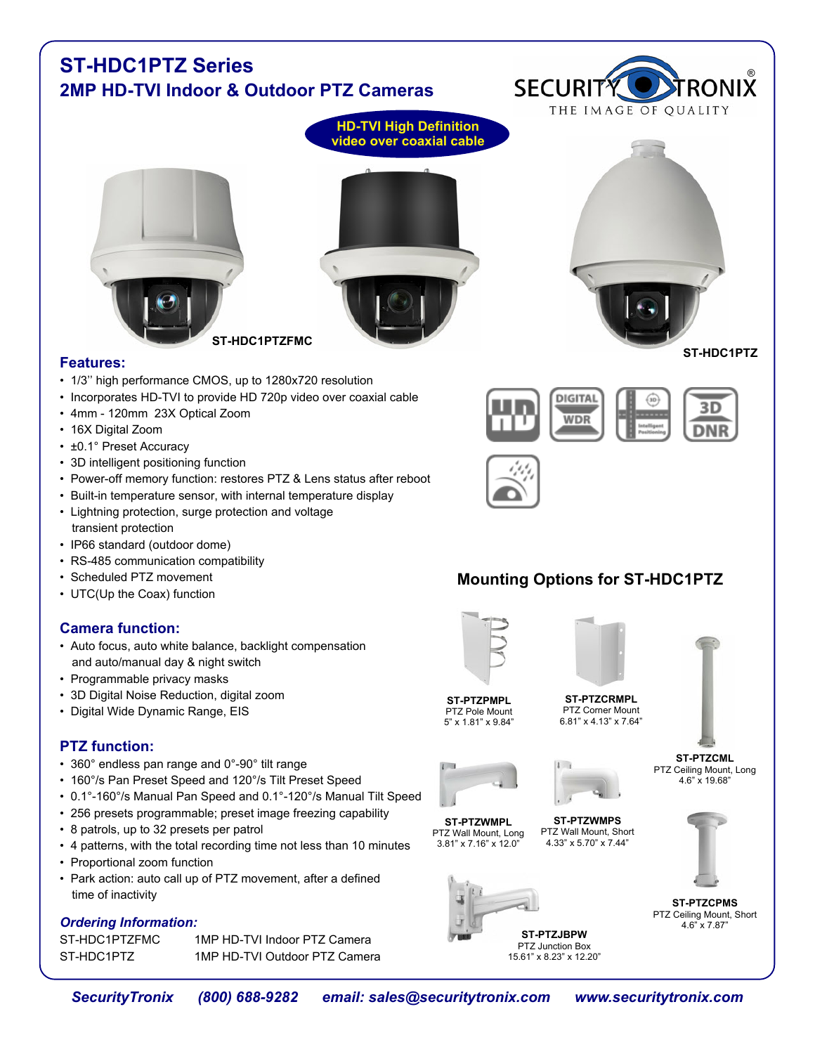#### **ST-HDC1PTZ Series** ® **SECURITY 2MP HD-TVI Indoor & Outdoor PTZ Cameras** THE IMAGE OF QUALITY **HD-TVI High Definition video over coaxial cable ST-HDC1PTZFMC ST-HDC1PTZ Features:** • 1/3'' high performance CMOS, up to 1280x720 resolution • Incorporates HD-TVI to provide HD 720p video over coaxial cable **DIGITAL** • 4mm - 120mm 23X Optical Zoom WDR • 16X Digital Zoom • ±0.1° Preset Accuracy • 3D intelligent positioning function • Power-off memory function: restores PTZ & Lens status after reboot • Built-in temperature sensor, with internal temperature display • Lightning protection, surge protection and voltage transient protection • IP66 standard (outdoor dome) • RS-485 communication compatibility • Scheduled PTZ movement **Mounting Options for ST-HDC1PTZ** • UTC(Up the Coax) function **Camera function:** • Auto focus, auto white balance, backlight compensation and auto/manual day & night switch • Programmable privacy masks • 3D Digital Noise Reduction, digital zoom **ST-PTZCRMPL ST-PTZPMPL** PTZ Corner Mount • Digital Wide Dynamic Range, EIS PTZ Pole Mount 5" x 1.81" x 9.84" 6.81" x 4.13" x 7.64" **PTZ function: ST-PTZCML** • 360° endless pan range and 0°-90° tilt range PTZ Ceiling Mount, Long • 160°/s Pan Preset Speed and 120°/s Tilt Preset Speed 4.6" x 19.68" • 0.1°-160°/s Manual Pan Speed and 0.1°-120°/s Manual Tilt Speed • 256 presets programmable; preset image freezing capability **ST-PTZWMPL ST-PTZWMPS** • 8 patrols, up to 32 presets per patrol PTZ Wall Mount, Long PTZ Wall Mount, Short 3.81" x 7.16" x 12.0" 4.33" x 5.70" x 7.44" • 4 patterns, with the total recording time not less than 10 minutes • Proportional zoom function • Park action: auto call up of PTZ movement, after a defined time of inactivity **ST-PTZCPMS** PTZ Ceiling Mount, Short *Ordering Information:* 4.6" x 7.87" **ST-PTZJBPW** ST-HDC1PTZFMC 1MP HD-TVI Indoor PTZ Camera PTZ Junction Box ST-HDC1PTZ 1MP HD-TVI Outdoor PTZ Camera 15.61" x 8.23" x 12.20"